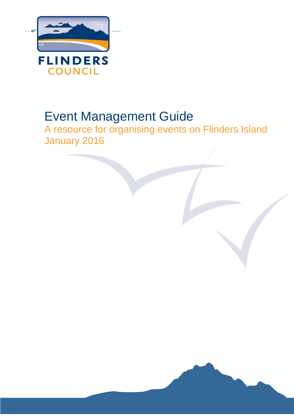

# Event Management Guide

A resource for organising events on Flinders Island January 2016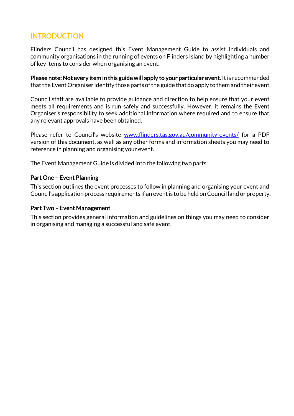## **INTRODUCTION**

Flinders Council has designed this Event Management Guide to assist individuals and community organisations in the running of events on Flinders Island by highlighting a number of key items to consider when organising an event.

Please note: Not every item in this guide will apply to your particular event. It is recommended that the Event Organiser identify those parts of the guide that do apply to them and their event.

Council staff are available to provide guidance and direction to help ensure that your event meets all requirements and is run safely and successfully. However, it remains the Event Organiser's responsibility to seek additional information where required and to ensure that any relevant approvals have been obtained.

Please refer to Council's website [www.flinders.tas.gov.au/](http://www.flinders.tas.gov.au/)community-events/ for a PDF version of this document, as well as any other forms and information sheets you may need to reference in planning and organising your event.

The Event Management Guide is divided into the following two parts:

#### Part One – Event Planning

This section outlines the event processes to follow in planning and organising your event and Council's application process requirements if an event is to be held on Council land or property.

#### Part Two – Event Management

This section provides general information and guidelines on things you may need to consider in organising and managing a successful and safe event.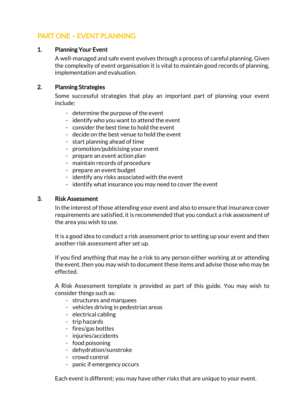## PART ONE – EVENT PLANNING

#### 1. Planning Your Event

A well-managed and safe event evolves through a process of careful planning. Given the complexity of event organisation it is vital to maintain good records of planning, implementation and evaluation.

#### 2. Planning Strategies

Some successful strategies that play an important part of planning your event include:

- determine the purpose of the event
- identify who you want to attend the event
- consider the best time to hold the event
- decide on the best venue to hold the event
- start planning ahead of time
- promotion/publicising your event
- prepare an event action plan
- maintain records of procedure
- prepare an event budget
- identify any risks associated with the event
- identify what insurance you may need to cover the event

#### 3. Risk Assessment

In the interest of those attending your event and also to ensure that insurance cover requirements are satisfied, it is recommended that you conduct a risk assessment of the area you wish to use.

It is a good idea to conduct a risk assessment prior to setting up your event and then another risk assessment after set up.

If you find anything that may be a risk to any person either working at or attending the event, then you may wish to document these items and advise those who may be effected.

A Risk Assessment template is provided as part of this guide. You may wish to consider things such as:

- structures and marquees
- vehicles driving in pedestrian areas
- electrical cabling
- trip hazards
- fires/gas bottles
- injuries/accidents
- food poisoning
- dehydration/sunstroke
- crowd control
- panic if emergency occurs

Each event is different; you may have other risks that are unique to your event.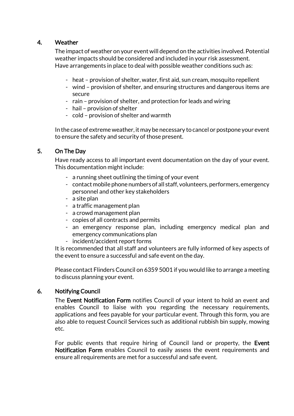## 4. Weather

The impact of weather on your event will depend on the activities involved. Potential weather impacts should be considered and included in your risk assessment. Have arrangements in place to deal with possible weather conditions such as:

- heat provision of shelter, water, first aid, sun cream, mosquito repellent
- wind provision of shelter, and ensuring structures and dangerous items are secure
- rain provision of shelter, and protection for leads and wiring
- hail provision of shelter
- cold provision of shelter and warmth

In the case of extreme weather, it may be necessary to cancel or postpone your event to ensure the safety and security of those present.

### 5. On The Day

Have ready access to all important event documentation on the day of your event. This documentation might include:

- a running sheet outlining the timing of your event
- contact mobile phone numbers of all staff, volunteers, performers, emergency personnel and other key stakeholders
- a site plan
- a traffic management plan
- a crowd management plan
- copies of all contracts and permits
- an emergency response plan, including emergency medical plan and emergency communications plan
- incident/accident report forms

It is recommended that all staff and volunteers are fully informed of key aspects of the event to ensure a successful and safe event on the day.

Please contact Flinders Council on 6359 5001 if you would like to arrange a meeting to discuss planning your event.

#### 6. Notifying Council

The Event Notification Form notifies Council of your intent to hold an event and enables Council to liaise with you regarding the necessary requirements, applications and fees payable for your particular event. Through this form, you are also able to request Council Services such as additional rubbish bin supply, mowing etc.

For public events that require hiring of Council land or property, the Event Notification Form enables Council to easily assess the event requirements and ensure all requirements are met for a successful and safe event.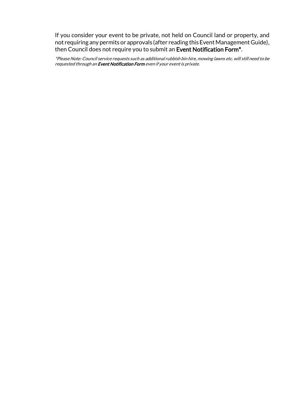If you consider your event to be private, not held on Council land or property, and not requiring any permits or approvals (after reading this Event Management Guide), then Council does not require you to submit an Event Notification Form\*.

\*Please Note: Council service requests such as additional rubbish bin hire, mowing lawns etc. will still need to be requested through an Event Notification Form even if your event is private.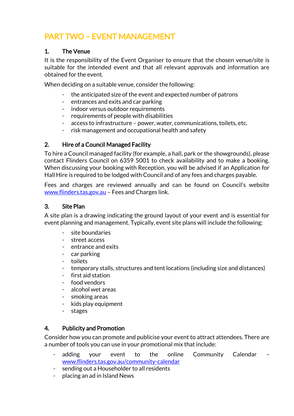## PART TWO – EVENT MANAGEMENT

## 1. The Venue

It is the responsibility of the Event Organiser to ensure that the chosen venue/site is suitable for the intended event and that all relevant approvals and information are obtained for the event.

When deciding on a suitable venue, consider the following:

- the anticipated size of the event and expected number of patrons
- entrances and exits and car parking
- indoor versus outdoor requirements
- requirements of people with disabilities
- access to infrastructure power, water, communications, toilets, etc.
- risk management and occupational health and safety

### 2. Hire of a Council Managed Facility

To hire a Council managed facility (for example, a hall, park or the showgrounds), please contact Flinders Council on 6359 5001 to check availability and to make a booking. When discussing your booking with Reception, you will be advised if an Application for Hall Hire is required to be lodged with Council and of any fees and charges payable.

Fees and charges are reviewed annually and can be found on Council's website [www.flinders.tas.gov.au](http://www.flinders.tas.gov.au/) – Fees and Charges link.

#### 3. Site Plan

A site plan is a drawing indicating the ground layout of your event and is essential for event planning and management. Typically, event site plans will include the following:

- site boundaries
- street access
- entrance and exits
- car parking
- toilets
- temporary stalls, structures and tent locations (including size and distances)
- first aid station
- food vendors
- alcohol wet areas
- smoking areas
- kids play equipment
- stages

## 4. Publicity and Promotion

Consider how you can promote and publicise your event to attract attendees. There are a number of tools you can use in your promotional mix that include:

- adding your event to the online Community Calendar [www.flinders.tas.gov.au/community-calendar](http://www.flinders.tas.gov.au/community-calendar)
- sending out a Householder to all residents
- placing an ad in Island News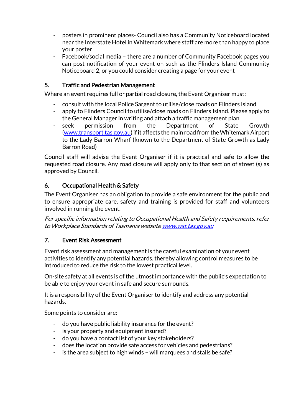- posters in prominent places- Council also has a Community Noticeboard located near the Interstate Hotel in Whitemark where staff are more than happy to place your poster
- Facebook/social media there are a number of Community Facebook pages you can post notification of your event on such as the Flinders Island Community Noticeboard 2, or you could consider creating a page for your event

## 5. Traffic and Pedestrian Management

Where an event requires full or partial road closure, the Event Organiser must:

- consult with the local Police Sargent to utilise/close roads on Flinders Island
- apply to Flinders Council to utilise/close roads on Flinders Island. Please apply to the General Manager in writing and attach a traffic management plan
- seek permission from the Department of State Growth [\(www.transport.tas.gov.au\)](http://www.transport.tas.gov.au/) if it affects the main road from the Whitemark Airport to the Lady Barron Wharf (known to the Department of State Growth as Lady Barron Road)

Council staff will advise the Event Organiser if it is practical and safe to allow the requested road closure. Any road closure will apply only to that section of street (s) as approved by Council.

## 6. Occupational Health & Safety

The Event Organiser has an obligation to provide a safe environment for the public and to ensure appropriate care, safety and training is provided for staff and volunteers involved in running the event.

For specific information relating to Occupational Health and Safety requirements, refer to Workplace Standards of Tasmania websit[e www.wst.tas.gov.au](http://www.wst.tas.gov.au/)

## 7. Event Risk Assessment

Event risk assessment and management is the careful examination of your event activities to identify any potential hazards, thereby allowing control measures to be introduced to reduce the risk to the lowest practical level.

On-site safety at all events is of the utmost importance with the public's expectation to be able to enjoy your event in safe and secure surrounds.

It is a responsibility of the Event Organiser to identify and address any potential hazards.

Some points to consider are:

- do you have public liability insurance for the event?
- is your property and equipment insured?
- do you have a contact list of your key stakeholders?
- does the location provide safe access for vehicles and pedestrians?
- is the area subject to high winds will marquees and stalls be safe?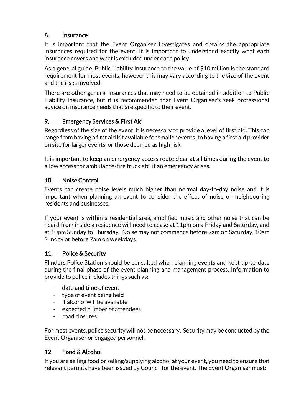## 8. Insurance

It is important that the Event Organiser investigates and obtains the appropriate insurances required for the event. It is important to understand exactly what each insurance covers and what is excluded under each policy.

As a general guide, Public Liability Insurance to the value of \$10 million is the standard requirement for most events, however this may vary according to the size of the event and the risks involved.

There are other general insurances that may need to be obtained in addition to Public Liability Insurance, but it is recommended that Event Organiser's seek professional advice on insurance needs that are specific to their event.

## 9. Emergency Services & First Aid

Regardless of the size of the event, it is necessary to provide a level of first aid. This can range from having a first aid kit available for smaller events, to having a first aid provider on site for larger events, or those deemed as high risk.

It is important to keep an emergency access route clear at all times during the event to allow access for ambulance/fire truck etc. if an emergency arises.

## 10. Noise Control

Events can create noise levels much higher than normal day-to-day noise and it is important when planning an event to consider the effect of noise on neighbouring residents and businesses.

If your event is within a residential area, amplified music and other noise that can be heard from inside a residence will need to cease at 11pm on a Friday and Saturday, and at 10pm Sunday to Thursday. Noise may not commence before 9am on Saturday, 10am Sunday or before 7am on weekdays.

## 11. Police & Security

Flinders Police Station should be consulted when planning events and kept up-to-date during the final phase of the event planning and management process. Information to provide to police includes things such as:

- date and time of event
- type of event being held
- if alcohol will be available
- expected number of attendees
- road closures

For most events, police security will not be necessary. Security may be conducted by the Event Organiser or engaged personnel.

## 12. Food & Alcohol

If you are selling food or selling/supplying alcohol at your event, you need to ensure that relevant permits have been issued by Council for the event. The Event Organiser must: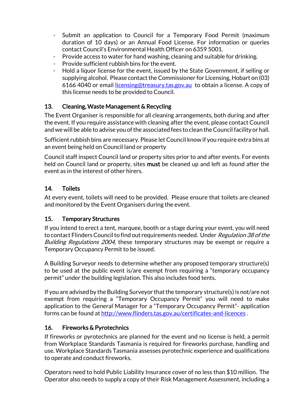- Submit an application to Council for a Temporary Food Permit (maximum duration of 10 days) or an Annual Food License. For information or queries contact Council's Environmental Health Officer on 6359 5001.
- Provide access to water for hand washing, cleaning and suitable for drinking.
- Provide sufficient rubbish bins for the event.
- Hold a liquor license for the event, issued by the State Government, if selling or supplying alcohol. Please contact the Commissioner for Licensing, Hobart on (03) 6166 4040 or email [licensing@treasury.tas.gov.au](mailto:licensing@treasury.tas.gov.au) to obtain a license. A copy of this license needs to be provided to Council.

## 13. Cleaning, Waste Management & Recycling

The Event Organiser is responsible for all cleaning arrangements, both during and after the event. If you require assistance with cleaning after the event, please contact Council and we will be able to advise you of the associated fees to clean the Council facility or hall.

Sufficient rubbish bins are necessary. Please let Council know if you require extra bins at an event being held on Council land or property

Council staff inspect Council land or property sites prior to and after events. For events held on Council land or property, sites **must** be cleaned up and left as found after the event as in the interest of other hirers.

## 14. Toilets

At every event, toilets will need to be provided. Please ensure that toilets are cleaned and monitored by the Event Organisers during the event.

## 15. Temporary Structures

If you intend to erect a tent, marquee, booth or a stage during your event, you will need to contact Flinders Council to find out requirements needed. Under Regulation 38 of the Building Regulations 2004, these temporary structures may be exempt or require a Temporary Occupancy Permit to be issued.

A Building Surveyor needs to determine whether any proposed temporary structure(s) to be used at the public event is/are exempt from requiring a "temporary occupancy permit" under the building legislation. This also includes food tents.

If you are advised by the Building Surveyor that the temporary structure(s) is not/are not exempt from requiring a "Temporary Occupancy Permit" you will need to make application to the General Manager for a "Temporary Occupancy Permit"- application forms can be found at <http://www.flinders.tas.gov.au/certificates-and-licences> .

## 16. Fireworks & Pyrotechnics

If fireworks or pyrotechnics are planned for the event and no license is held, a permit from Workplace Standards Tasmania is required for fireworks purchase, handling and use. Workplace Standards Tasmania assesses pyrotechnic experience and qualifications to operate and conduct fireworks.

Operators need to hold Public Liability Insurance cover of no less than \$10 million. The Operator also needs to supply a copy of their Risk Management Assessment, including a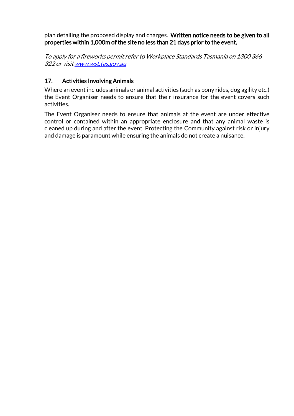plan detailing the proposed display and charges. Written notice needs to be given to all properties within 1,000m of the site no less than 21 days prior to the event.

To apply for a fireworks permit refer to Workplace Standards Tasmania on 1300 366 322 or visi[t www.wst.tas.gov.au](http://www.wst.tas.gov.au/)

## 17. Activities Involving Animals

Where an event includes animals or animal activities (such as pony rides, dog agility etc.) the Event Organiser needs to ensure that their insurance for the event covers such activities.

The Event Organiser needs to ensure that animals at the event are under effective control or contained within an appropriate enclosure and that any animal waste is cleaned up during and after the event. Protecting the Community against risk or injury and damage is paramount while ensuring the animals do not create a nuisance.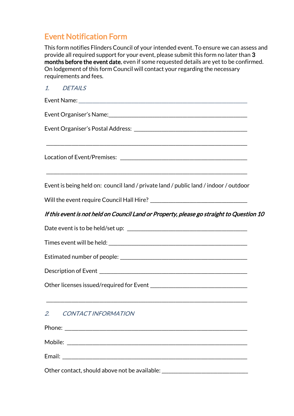## Event Notification Form

This form notifies Flinders Council of your intended event. To ensure we can assess and provide all required support for your event, please submit this form no later than 3 months before the event date, even if some requested details are yet to be confirmed. On lodgement of this form Council will contact your regarding the necessary requirements and fees.

| 1. DETAILS                                                                               |
|------------------------------------------------------------------------------------------|
|                                                                                          |
| Event Organiser's Name: Chame and Chamber and Chamber and Chamber and Chamber and        |
|                                                                                          |
|                                                                                          |
| Event is being held on: council land / private land / public land / indoor / outdoor     |
|                                                                                          |
| If this event is not held on Council Land or Property, please go straight to Question 10 |
|                                                                                          |
|                                                                                          |
|                                                                                          |
|                                                                                          |
|                                                                                          |
| <u> 1989 - Johann Stoff, amerikansk politiker (d. 1989)</u><br>CONTACT INFORMATION<br>2. |
|                                                                                          |
|                                                                                          |
|                                                                                          |

Other contact, should above not be available: \_\_\_\_\_\_\_\_\_\_\_\_\_\_\_\_\_\_\_\_\_\_\_\_\_\_\_\_\_\_\_\_\_\_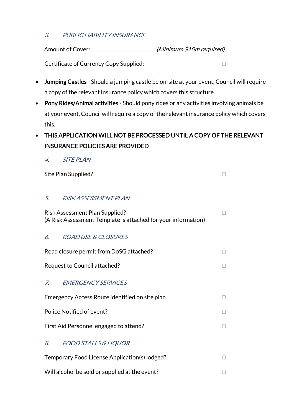## 3. PUBLIC LIABILITY INSURANCE

Amount of Cover:\_\_\_\_\_\_\_\_\_\_\_\_\_\_\_\_\_\_\_\_\_\_\_\_\_\_\_\_ (Minimum \$10m required)

Certificate of Currency Copy Supplied:  $\Box$ 

- Jumping Castles Should a jumping castle be on-site at your event, Council will require a copy of the relevant insurance policy which covers this structure.
- Pony Rides/Animal activities Should pony rides or any activities involving animals be at your event, Council will require a copy of the relevant insurance policy which covers this.
- THIS APPLICATION WILL NOT BE PROCESSED UNTIL A COPY OF THE RELEVANT INSURANCE POLICIES ARE PROVIDED
	- 4. SITE PLAN

Site Plan Supplied?

### 5. RISK ASSESSMENT PLAN

Risk Assessment Plan Supplied? (A Risk Assessment Template is attached for your information)

## 6. ROAD USE & CLOSURES

Road closure permit from DoSG attached? Request to Council attached? The state of the state of  $\Box$ 7. EMERGENCY SERVICES Emergency Access Route identified on site plan

Police Notified of event?

First Aid Personnel engaged to attend?

## 8. FOOD STALLS & LIQUOR

- Temporary Food License Application(s) lodged?
- Will alcohol be sold or supplied at the event?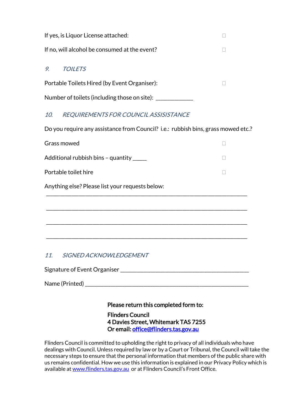|    | If yes, is Liquor License attached:           |  |  |  |  |
|----|-----------------------------------------------|--|--|--|--|
|    | If no, will alcohol be consumed at the event? |  |  |  |  |
| 9. | <b>TOILETS</b>                                |  |  |  |  |
|    | Portable Toilets Hired (by Event Organiser):  |  |  |  |  |
|    | Number of toilets (including those on site):  |  |  |  |  |

## 10. REQUIREMENTS FOR COUNCIL ASSISISTANCE

Do you require any assistance from Council? i.e.: rubbish bins, grass mowed etc.?

| Grass mowed                                     |  |  |  |  |  |  |
|-------------------------------------------------|--|--|--|--|--|--|
| Additional rubbish bins - quantity _____        |  |  |  |  |  |  |
| Portable toilet hire                            |  |  |  |  |  |  |
| Anything else? Please list your requests below: |  |  |  |  |  |  |
|                                                 |  |  |  |  |  |  |
|                                                 |  |  |  |  |  |  |
|                                                 |  |  |  |  |  |  |
|                                                 |  |  |  |  |  |  |
| 11.<br>SIGNED ACKNOWLEDGEMENT                   |  |  |  |  |  |  |
| Signature of Event Organiser                    |  |  |  |  |  |  |

Name (Printed) \_\_\_\_\_\_\_\_\_\_\_\_\_\_\_\_\_\_\_\_\_\_\_\_\_\_\_\_\_\_\_\_\_\_\_\_\_\_\_\_\_\_\_\_\_\_\_\_\_\_\_\_\_\_\_\_\_\_\_\_\_\_\_\_\_\_\_\_\_\_

Please return this completed form to:

Flinders Council 4 Davies Street, Whitemark TAS 7255 Or email: [office@flinders.tas.gov.au](mailto:office@flinders.tas.gov.au) 

Flinders Council is committed to upholding the right to privacy of all individuals who have dealings with Council. Unless required by law or by a Court or Tribunal, the Council will take the necessary steps to ensure that the personal information that members of the public share with us remains confidential. How we use this information is explained in our Privacy Policy which is available a[t www.flinders.tas.gov.au](http://www.flinders.tas.gov.au/) or at Flinders Council's Front Office.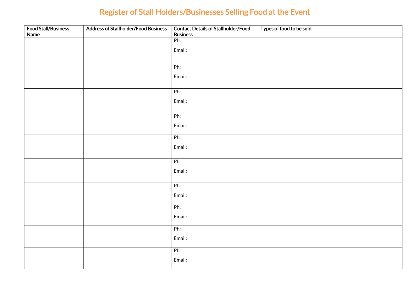## Register of Stall Holders/Businesses Selling Food at the Event

| <b>Food Stall/Business</b><br>Name | <b>Address of Stallholder/Food Business</b> | <b>Contact Details of Stallholder/Food</b><br><b>Business</b> | Types of food to be sold |
|------------------------------------|---------------------------------------------|---------------------------------------------------------------|--------------------------|
|                                    |                                             | Ph:                                                           |                          |
|                                    |                                             | Email:                                                        |                          |
|                                    |                                             |                                                               |                          |
|                                    |                                             | Ph:                                                           |                          |
|                                    |                                             | Email:                                                        |                          |
|                                    |                                             |                                                               |                          |
|                                    |                                             | Ph:                                                           |                          |
|                                    |                                             | Email:                                                        |                          |
|                                    |                                             |                                                               |                          |
|                                    |                                             | Ph:                                                           |                          |
|                                    |                                             | Email:                                                        |                          |
|                                    |                                             | Ph:                                                           |                          |
|                                    |                                             | Email:                                                        |                          |
|                                    |                                             |                                                               |                          |
|                                    |                                             | Ph:                                                           |                          |
|                                    |                                             | Email:                                                        |                          |
|                                    |                                             | Ph:                                                           |                          |
|                                    |                                             |                                                               |                          |
|                                    |                                             | Email:                                                        |                          |
|                                    |                                             | Ph:                                                           |                          |
|                                    |                                             | Email:                                                        |                          |
|                                    |                                             | Ph:                                                           |                          |
|                                    |                                             | Email:                                                        |                          |
|                                    |                                             |                                                               |                          |
|                                    |                                             | Ph:                                                           |                          |
|                                    |                                             | Email:                                                        |                          |
|                                    |                                             |                                                               |                          |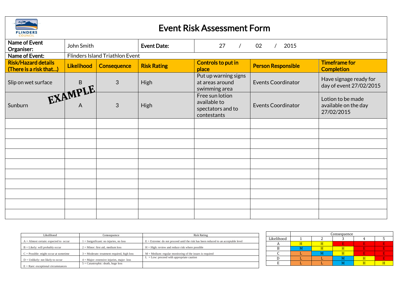

## Event Risk Assessment Form

| Name of Event                                        | John Smith<br><b>Event Date:</b><br>27<br>02<br>2015 |                    |                    |                                                                     |                           |                                                         |
|------------------------------------------------------|------------------------------------------------------|--------------------|--------------------|---------------------------------------------------------------------|---------------------------|---------------------------------------------------------|
| Organiser:<br>Name of Event:                         | <b>Flinders Island Triathlon Event</b>               |                    |                    |                                                                     |                           |                                                         |
| <b>Risk/Hazard details</b><br>(There is a risk that) | <b>Likelihood</b>                                    | <b>Consequence</b> | <b>Risk Rating</b> | Controls to put in<br>place                                         | <b>Person Responsible</b> | <b>Timeframe for</b><br><b>Completion</b>               |
| Slip on wet surface                                  |                                                      | 3                  | <b>High</b>        | Put up warning signs<br>at areas around<br>swimming area            | <b>Events Coordinator</b> | Have signage ready for<br>day of event 27/02/2015       |
| Sunburn                                              | EXAMPLE                                              | 3                  | <b>High</b>        | Free sun lotion<br>available to<br>spectators and to<br>contestants | <b>Events Coordinator</b> | Lotion to be made<br>available on the day<br>27/02/2015 |
|                                                      |                                                      |                    |                    |                                                                     |                           |                                                         |
|                                                      |                                                      |                    |                    |                                                                     |                           |                                                         |
|                                                      |                                                      |                    |                    |                                                                     |                           |                                                         |
|                                                      |                                                      |                    |                    |                                                                     |                           |                                                         |
|                                                      |                                                      |                    |                    |                                                                     |                           |                                                         |
|                                                      |                                                      |                    |                    |                                                                     |                           |                                                         |
|                                                      |                                                      |                    |                    |                                                                     |                           |                                                         |
|                                                      |                                                      |                    |                    |                                                                     |                           |                                                         |
|                                                      |                                                      |                    |                    |                                                                     |                           |                                                         |
|                                                      |                                                      |                    |                    |                                                                     |                           |                                                         |

| Likelihood                                     | Consequence                                   | Risk Rating                                                                          |  |  |
|------------------------------------------------|-----------------------------------------------|--------------------------------------------------------------------------------------|--|--|
| $A =$ Almost certain: expected to occur        | $1 =$ Insignificant: no injuries, no loss     | $E =$ Extreme: do not proceed until the risk has been reduced to an acceptable level |  |  |
| $B =$ Likely: will probably occur              | $2 =$ Minor: first aid, medium loss           | $H = High$ : review and reduce risk where possible                                   |  |  |
| $C = \text{Possible: might occur at sometime}$ | $3$ = Moderate: treatment required, high loss | $M =$ Medium: regular monitoring of the issues is required                           |  |  |
| $D =$ Unlikely: not likely to occur            | $4 =$ Major: extensive injuries, major loss   | $L = Low$ : proceed with appropriate caution                                         |  |  |
| $E =$ Rare: exceptional circumstances          | $5 =$ Catastrophic: death, huge loss          |                                                                                      |  |  |

|            | Consequence |  |  |  |  |  |
|------------|-------------|--|--|--|--|--|
| Likelihood |             |  |  |  |  |  |
|            |             |  |  |  |  |  |
|            |             |  |  |  |  |  |
|            |             |  |  |  |  |  |
|            |             |  |  |  |  |  |
|            |             |  |  |  |  |  |